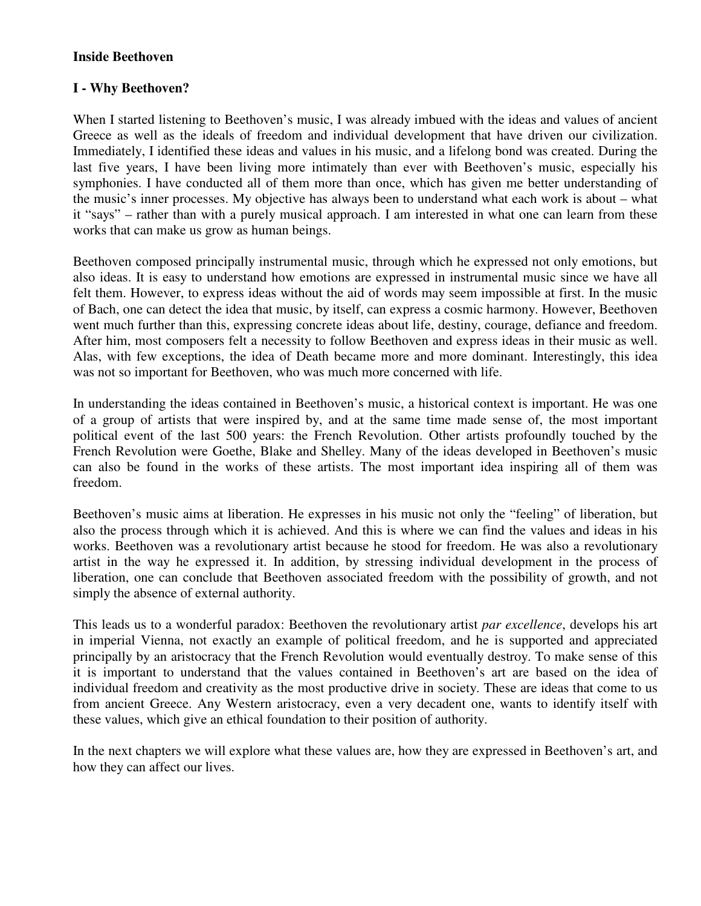#### **Inside Beethoven**

# **I - Why Beethoven?**

When I started listening to Beethoven's music, I was already imbued with the ideas and values of ancient Greece as well as the ideals of freedom and individual development that have driven our civilization. Immediately, I identified these ideas and values in his music, and a lifelong bond was created. During the last five years, I have been living more intimately than ever with Beethoven's music, especially his symphonies. I have conducted all of them more than once, which has given me better understanding of the music's inner processes. My objective has always been to understand what each work is about – what it "says" – rather than with a purely musical approach. I am interested in what one can learn from these works that can make us grow as human beings.

Beethoven composed principally instrumental music, through which he expressed not only emotions, but also ideas. It is easy to understand how emotions are expressed in instrumental music since we have all felt them. However, to express ideas without the aid of words may seem impossible at first. In the music of Bach, one can detect the idea that music, by itself, can express a cosmic harmony. However, Beethoven went much further than this, expressing concrete ideas about life, destiny, courage, defiance and freedom. After him, most composers felt a necessity to follow Beethoven and express ideas in their music as well. Alas, with few exceptions, the idea of Death became more and more dominant. Interestingly, this idea was not so important for Beethoven, who was much more concerned with life.

In understanding the ideas contained in Beethoven's music, a historical context is important. He was one of a group of artists that were inspired by, and at the same time made sense of, the most important political event of the last 500 years: the French Revolution. Other artists profoundly touched by the French Revolution were Goethe, Blake and Shelley. Many of the ideas developed in Beethoven's music can also be found in the works of these artists. The most important idea inspiring all of them was freedom.

Beethoven's music aims at liberation. He expresses in his music not only the "feeling" of liberation, but also the process through which it is achieved. And this is where we can find the values and ideas in his works. Beethoven was a revolutionary artist because he stood for freedom. He was also a revolutionary artist in the way he expressed it. In addition, by stressing individual development in the process of liberation, one can conclude that Beethoven associated freedom with the possibility of growth, and not simply the absence of external authority.

This leads us to a wonderful paradox: Beethoven the revolutionary artist *par excellence*, develops his art in imperial Vienna, not exactly an example of political freedom, and he is supported and appreciated principally by an aristocracy that the French Revolution would eventually destroy. To make sense of this it is important to understand that the values contained in Beethoven's art are based on the idea of individual freedom and creativity as the most productive drive in society. These are ideas that come to us from ancient Greece. Any Western aristocracy, even a very decadent one, wants to identify itself with these values, which give an ethical foundation to their position of authority.

In the next chapters we will explore what these values are, how they are expressed in Beethoven's art, and how they can affect our lives.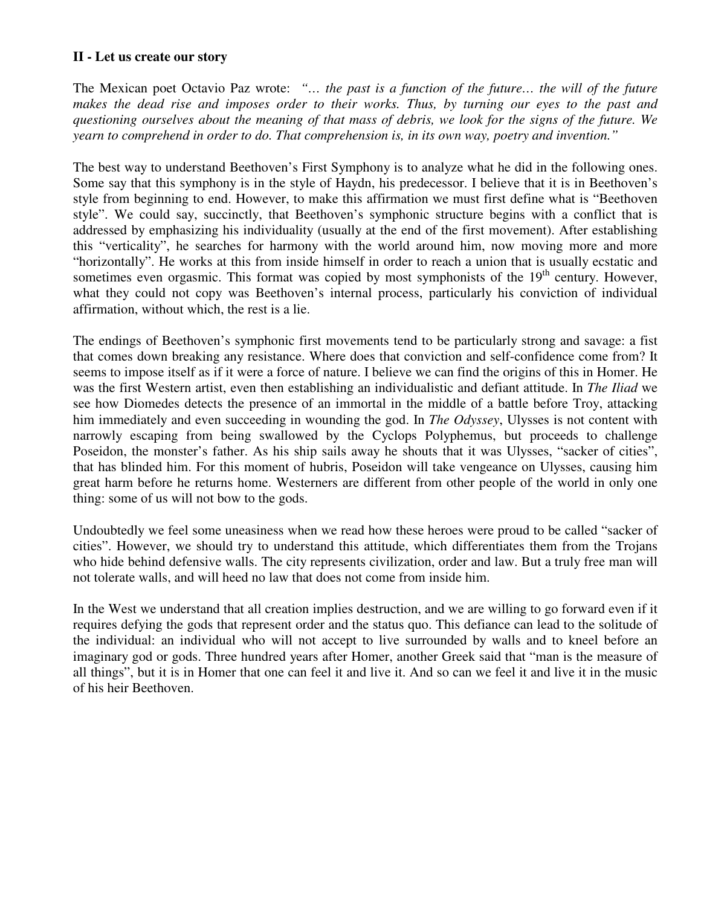### **II - Let us create our story**

The Mexican poet Octavio Paz wrote: *"… the past is a function of the future… the will of the future* makes the dead rise and imposes order to their works. Thus, by turning our eyes to the past and questioning ourselves about the meaning of that mass of debris, we look for the signs of the future. We *yearn to comprehend in order to do. That comprehension is, in its own way, poetry and invention."*

The best way to understand Beethoven's First Symphony is to analyze what he did in the following ones. Some say that this symphony is in the style of Haydn, his predecessor. I believe that it is in Beethoven's style from beginning to end. However, to make this affirmation we must first define what is "Beethoven style". We could say, succinctly, that Beethoven's symphonic structure begins with a conflict that is addressed by emphasizing his individuality (usually at the end of the first movement). After establishing this "verticality", he searches for harmony with the world around him, now moving more and more "horizontally". He works at this from inside himself in order to reach a union that is usually ecstatic and sometimes even orgasmic. This format was copied by most symphonists of the 19<sup>th</sup> century. However, what they could not copy was Beethoven's internal process, particularly his conviction of individual affirmation, without which, the rest is a lie.

The endings of Beethoven's symphonic first movements tend to be particularly strong and savage: a fist that comes down breaking any resistance. Where does that conviction and self-confidence come from? It seems to impose itself as if it were a force of nature. I believe we can find the origins of this in Homer. He was the first Western artist, even then establishing an individualistic and defiant attitude. In *The Iliad* we see how Diomedes detects the presence of an immortal in the middle of a battle before Troy, attacking him immediately and even succeeding in wounding the god. In *The Odyssey*, Ulysses is not content with narrowly escaping from being swallowed by the Cyclops Polyphemus, but proceeds to challenge Poseidon, the monster's father. As his ship sails away he shouts that it was Ulysses, "sacker of cities", that has blinded him. For this moment of hubris, Poseidon will take vengeance on Ulysses, causing him great harm before he returns home. Westerners are different from other people of the world in only one thing: some of us will not bow to the gods.

Undoubtedly we feel some uneasiness when we read how these heroes were proud to be called "sacker of cities". However, we should try to understand this attitude, which differentiates them from the Trojans who hide behind defensive walls. The city represents civilization, order and law. But a truly free man will not tolerate walls, and will heed no law that does not come from inside him.

In the West we understand that all creation implies destruction, and we are willing to go forward even if it requires defying the gods that represent order and the status quo. This defiance can lead to the solitude of the individual: an individual who will not accept to live surrounded by walls and to kneel before an imaginary god or gods. Three hundred years after Homer, another Greek said that "man is the measure of all things", but it is in Homer that one can feel it and live it. And so can we feel it and live it in the music of his heir Beethoven.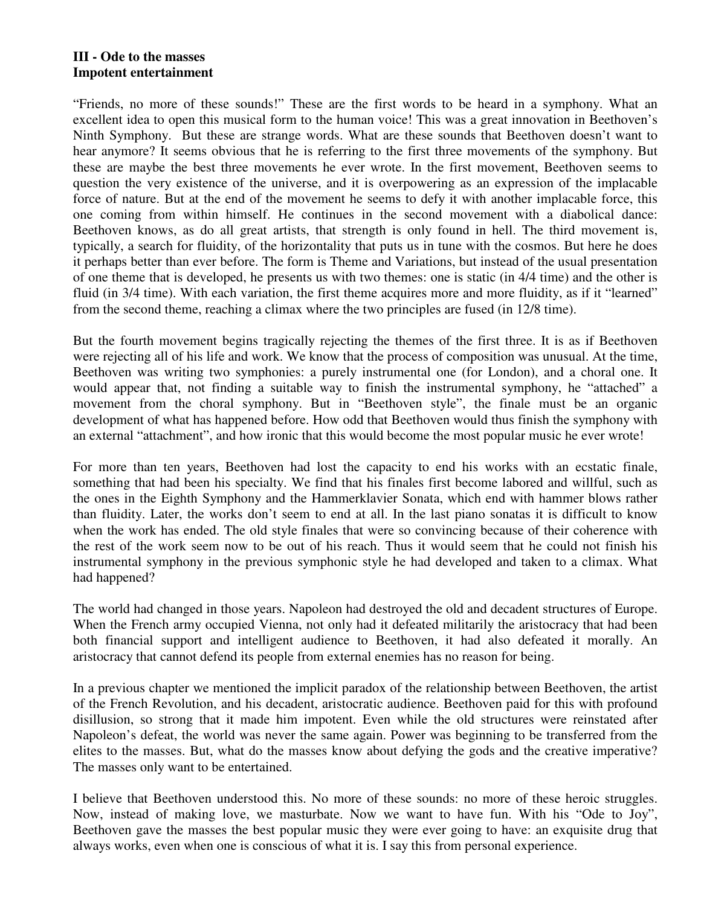#### **III - Ode to the masses Impotent entertainment**

"Friends, no more of these sounds!" These are the first words to be heard in a symphony. What an excellent idea to open this musical form to the human voice! This was a great innovation in Beethoven's Ninth Symphony. But these are strange words. What are these sounds that Beethoven doesn't want to hear anymore? It seems obvious that he is referring to the first three movements of the symphony. But these are maybe the best three movements he ever wrote. In the first movement, Beethoven seems to question the very existence of the universe, and it is overpowering as an expression of the implacable force of nature. But at the end of the movement he seems to defy it with another implacable force, this one coming from within himself. He continues in the second movement with a diabolical dance: Beethoven knows, as do all great artists, that strength is only found in hell. The third movement is, typically, a search for fluidity, of the horizontality that puts us in tune with the cosmos. But here he does it perhaps better than ever before. The form is Theme and Variations, but instead of the usual presentation of one theme that is developed, he presents us with two themes: one is static (in 4/4 time) and the other is fluid (in 3/4 time). With each variation, the first theme acquires more and more fluidity, as if it "learned" from the second theme, reaching a climax where the two principles are fused (in 12/8 time).

But the fourth movement begins tragically rejecting the themes of the first three. It is as if Beethoven were rejecting all of his life and work. We know that the process of composition was unusual. At the time, Beethoven was writing two symphonies: a purely instrumental one (for London), and a choral one. It would appear that, not finding a suitable way to finish the instrumental symphony, he "attached" a movement from the choral symphony. But in "Beethoven style", the finale must be an organic development of what has happened before. How odd that Beethoven would thus finish the symphony with an external "attachment", and how ironic that this would become the most popular music he ever wrote!

For more than ten years, Beethoven had lost the capacity to end his works with an ecstatic finale, something that had been his specialty. We find that his finales first become labored and willful, such as the ones in the Eighth Symphony and the Hammerklavier Sonata, which end with hammer blows rather than fluidity. Later, the works don't seem to end at all. In the last piano sonatas it is difficult to know when the work has ended. The old style finales that were so convincing because of their coherence with the rest of the work seem now to be out of his reach. Thus it would seem that he could not finish his instrumental symphony in the previous symphonic style he had developed and taken to a climax. What had happened?

The world had changed in those years. Napoleon had destroyed the old and decadent structures of Europe. When the French army occupied Vienna, not only had it defeated militarily the aristocracy that had been both financial support and intelligent audience to Beethoven, it had also defeated it morally. An aristocracy that cannot defend its people from external enemies has no reason for being.

In a previous chapter we mentioned the implicit paradox of the relationship between Beethoven, the artist of the French Revolution, and his decadent, aristocratic audience. Beethoven paid for this with profound disillusion, so strong that it made him impotent. Even while the old structures were reinstated after Napoleon's defeat, the world was never the same again. Power was beginning to be transferred from the elites to the masses. But, what do the masses know about defying the gods and the creative imperative? The masses only want to be entertained.

I believe that Beethoven understood this. No more of these sounds: no more of these heroic struggles. Now, instead of making love, we masturbate. Now we want to have fun. With his "Ode to Joy", Beethoven gave the masses the best popular music they were ever going to have: an exquisite drug that always works, even when one is conscious of what it is. I say this from personal experience.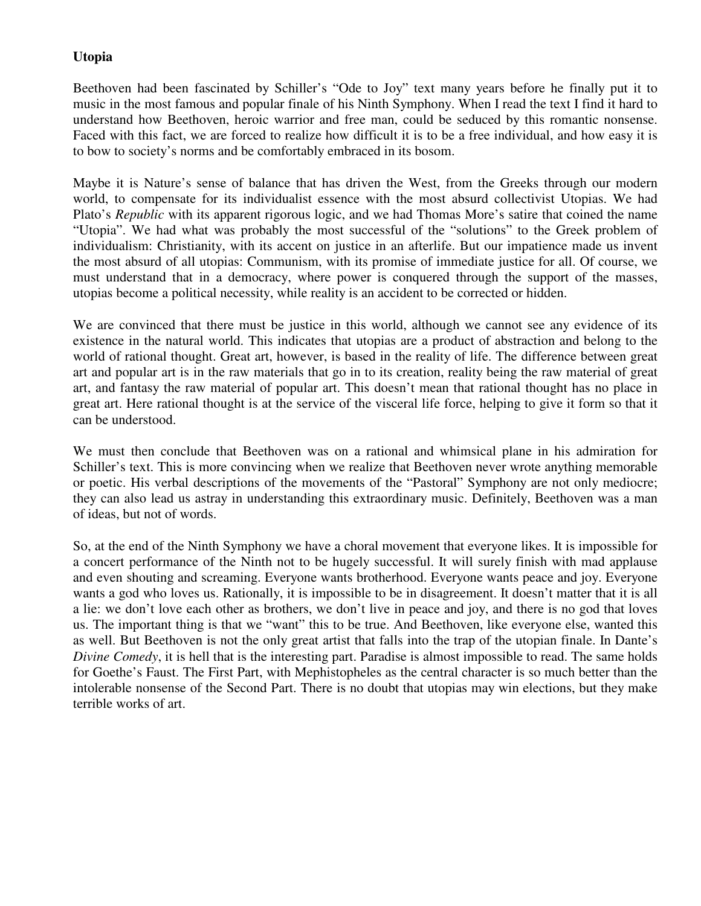# **Utopia**

Beethoven had been fascinated by Schiller's "Ode to Joy" text many years before he finally put it to music in the most famous and popular finale of his Ninth Symphony. When I read the text I find it hard to understand how Beethoven, heroic warrior and free man, could be seduced by this romantic nonsense. Faced with this fact, we are forced to realize how difficult it is to be a free individual, and how easy it is to bow to society's norms and be comfortably embraced in its bosom.

Maybe it is Nature's sense of balance that has driven the West, from the Greeks through our modern world, to compensate for its individualist essence with the most absurd collectivist Utopias. We had Plato's *Republic* with its apparent rigorous logic, and we had Thomas More's satire that coined the name "Utopia". We had what was probably the most successful of the "solutions" to the Greek problem of individualism: Christianity, with its accent on justice in an afterlife. But our impatience made us invent the most absurd of all utopias: Communism, with its promise of immediate justice for all. Of course, we must understand that in a democracy, where power is conquered through the support of the masses, utopias become a political necessity, while reality is an accident to be corrected or hidden.

We are convinced that there must be justice in this world, although we cannot see any evidence of its existence in the natural world. This indicates that utopias are a product of abstraction and belong to the world of rational thought. Great art, however, is based in the reality of life. The difference between great art and popular art is in the raw materials that go in to its creation, reality being the raw material of great art, and fantasy the raw material of popular art. This doesn't mean that rational thought has no place in great art. Here rational thought is at the service of the visceral life force, helping to give it form so that it can be understood.

We must then conclude that Beethoven was on a rational and whimsical plane in his admiration for Schiller's text. This is more convincing when we realize that Beethoven never wrote anything memorable or poetic. His verbal descriptions of the movements of the "Pastoral" Symphony are not only mediocre; they can also lead us astray in understanding this extraordinary music. Definitely, Beethoven was a man of ideas, but not of words.

So, at the end of the Ninth Symphony we have a choral movement that everyone likes. It is impossible for a concert performance of the Ninth not to be hugely successful. It will surely finish with mad applause and even shouting and screaming. Everyone wants brotherhood. Everyone wants peace and joy. Everyone wants a god who loves us. Rationally, it is impossible to be in disagreement. It doesn't matter that it is all a lie: we don't love each other as brothers, we don't live in peace and joy, and there is no god that loves us. The important thing is that we "want" this to be true. And Beethoven, like everyone else, wanted this as well. But Beethoven is not the only great artist that falls into the trap of the utopian finale. In Dante's *Divine Comedy*, it is hell that is the interesting part. Paradise is almost impossible to read. The same holds for Goethe's Faust. The First Part, with Mephistopheles as the central character is so much better than the intolerable nonsense of the Second Part. There is no doubt that utopias may win elections, but they make terrible works of art.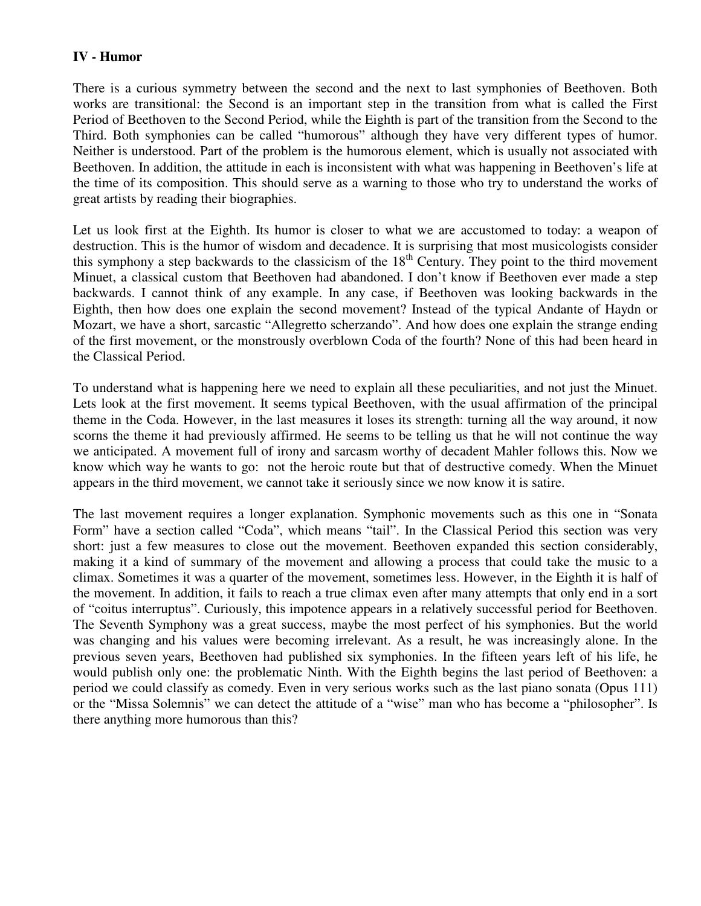## **IV - Humor**

There is a curious symmetry between the second and the next to last symphonies of Beethoven. Both works are transitional: the Second is an important step in the transition from what is called the First Period of Beethoven to the Second Period, while the Eighth is part of the transition from the Second to the Third. Both symphonies can be called "humorous" although they have very different types of humor. Neither is understood. Part of the problem is the humorous element, which is usually not associated with Beethoven. In addition, the attitude in each is inconsistent with what was happening in Beethoven's life at the time of its composition. This should serve as a warning to those who try to understand the works of great artists by reading their biographies.

Let us look first at the Eighth. Its humor is closer to what we are accustomed to today: a weapon of destruction. This is the humor of wisdom and decadence. It is surprising that most musicologists consider this symphony a step backwards to the classicism of the 18<sup>th</sup> Century. They point to the third movement Minuet, a classical custom that Beethoven had abandoned. I don't know if Beethoven ever made a step backwards. I cannot think of any example. In any case, if Beethoven was looking backwards in the Eighth, then how does one explain the second movement? Instead of the typical Andante of Haydn or Mozart, we have a short, sarcastic "Allegretto scherzando". And how does one explain the strange ending of the first movement, or the monstrously overblown Coda of the fourth? None of this had been heard in the Classical Period.

To understand what is happening here we need to explain all these peculiarities, and not just the Minuet. Lets look at the first movement. It seems typical Beethoven, with the usual affirmation of the principal theme in the Coda. However, in the last measures it loses its strength: turning all the way around, it now scorns the theme it had previously affirmed. He seems to be telling us that he will not continue the way we anticipated. A movement full of irony and sarcasm worthy of decadent Mahler follows this. Now we know which way he wants to go: not the heroic route but that of destructive comedy. When the Minuet appears in the third movement, we cannot take it seriously since we now know it is satire.

The last movement requires a longer explanation. Symphonic movements such as this one in "Sonata Form" have a section called "Coda", which means "tail". In the Classical Period this section was very short: just a few measures to close out the movement. Beethoven expanded this section considerably, making it a kind of summary of the movement and allowing a process that could take the music to a climax. Sometimes it was a quarter of the movement, sometimes less. However, in the Eighth it is half of the movement. In addition, it fails to reach a true climax even after many attempts that only end in a sort of "coitus interruptus". Curiously, this impotence appears in a relatively successful period for Beethoven. The Seventh Symphony was a great success, maybe the most perfect of his symphonies. But the world was changing and his values were becoming irrelevant. As a result, he was increasingly alone. In the previous seven years, Beethoven had published six symphonies. In the fifteen years left of his life, he would publish only one: the problematic Ninth. With the Eighth begins the last period of Beethoven: a period we could classify as comedy. Even in very serious works such as the last piano sonata (Opus 111) or the "Missa Solemnis" we can detect the attitude of a "wise" man who has become a "philosopher". Is there anything more humorous than this?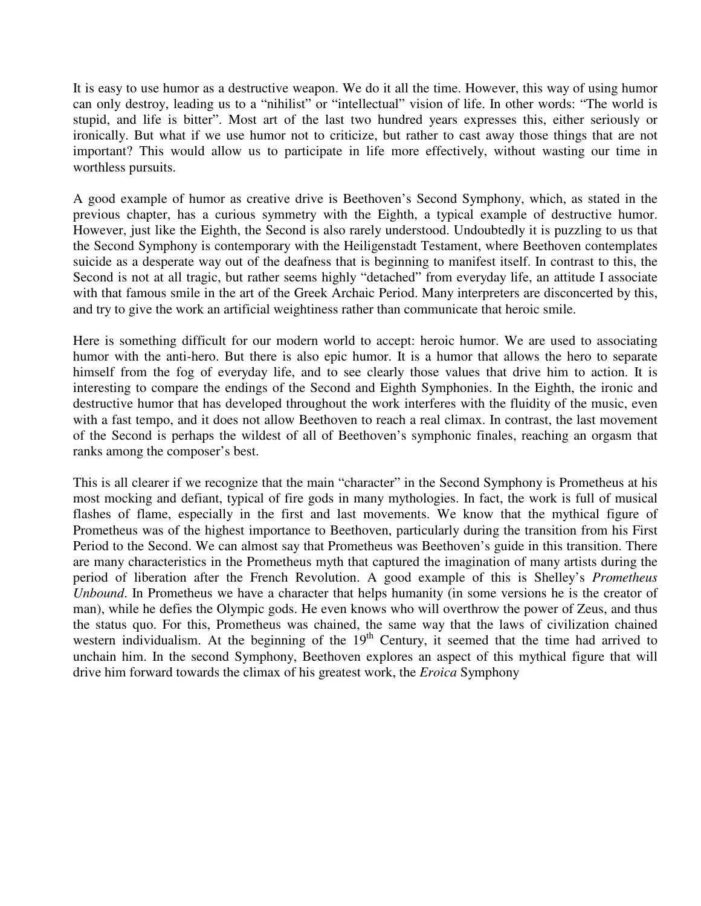It is easy to use humor as a destructive weapon. We do it all the time. However, this way of using humor can only destroy, leading us to a "nihilist" or "intellectual" vision of life. In other words: "The world is stupid, and life is bitter". Most art of the last two hundred years expresses this, either seriously or ironically. But what if we use humor not to criticize, but rather to cast away those things that are not important? This would allow us to participate in life more effectively, without wasting our time in worthless pursuits.

A good example of humor as creative drive is Beethoven's Second Symphony, which, as stated in the previous chapter, has a curious symmetry with the Eighth, a typical example of destructive humor. However, just like the Eighth, the Second is also rarely understood. Undoubtedly it is puzzling to us that the Second Symphony is contemporary with the Heiligenstadt Testament, where Beethoven contemplates suicide as a desperate way out of the deafness that is beginning to manifest itself. In contrast to this, the Second is not at all tragic, but rather seems highly "detached" from everyday life, an attitude I associate with that famous smile in the art of the Greek Archaic Period. Many interpreters are disconcerted by this, and try to give the work an artificial weightiness rather than communicate that heroic smile.

Here is something difficult for our modern world to accept: heroic humor. We are used to associating humor with the anti-hero. But there is also epic humor. It is a humor that allows the hero to separate himself from the fog of everyday life, and to see clearly those values that drive him to action. It is interesting to compare the endings of the Second and Eighth Symphonies. In the Eighth, the ironic and destructive humor that has developed throughout the work interferes with the fluidity of the music, even with a fast tempo, and it does not allow Beethoven to reach a real climax. In contrast, the last movement of the Second is perhaps the wildest of all of Beethoven's symphonic finales, reaching an orgasm that ranks among the composer's best.

This is all clearer if we recognize that the main "character" in the Second Symphony is Prometheus at his most mocking and defiant, typical of fire gods in many mythologies. In fact, the work is full of musical flashes of flame, especially in the first and last movements. We know that the mythical figure of Prometheus was of the highest importance to Beethoven, particularly during the transition from his First Period to the Second. We can almost say that Prometheus was Beethoven's guide in this transition. There are many characteristics in the Prometheus myth that captured the imagination of many artists during the period of liberation after the French Revolution. A good example of this is Shelley's *Prometheus Unbound*. In Prometheus we have a character that helps humanity (in some versions he is the creator of man), while he defies the Olympic gods. He even knows who will overthrow the power of Zeus, and thus the status quo. For this, Prometheus was chained, the same way that the laws of civilization chained western individualism. At the beginning of the 19<sup>th</sup> Century, it seemed that the time had arrived to unchain him. In the second Symphony, Beethoven explores an aspect of this mythical figure that will drive him forward towards the climax of his greatest work, the *Eroica* Symphony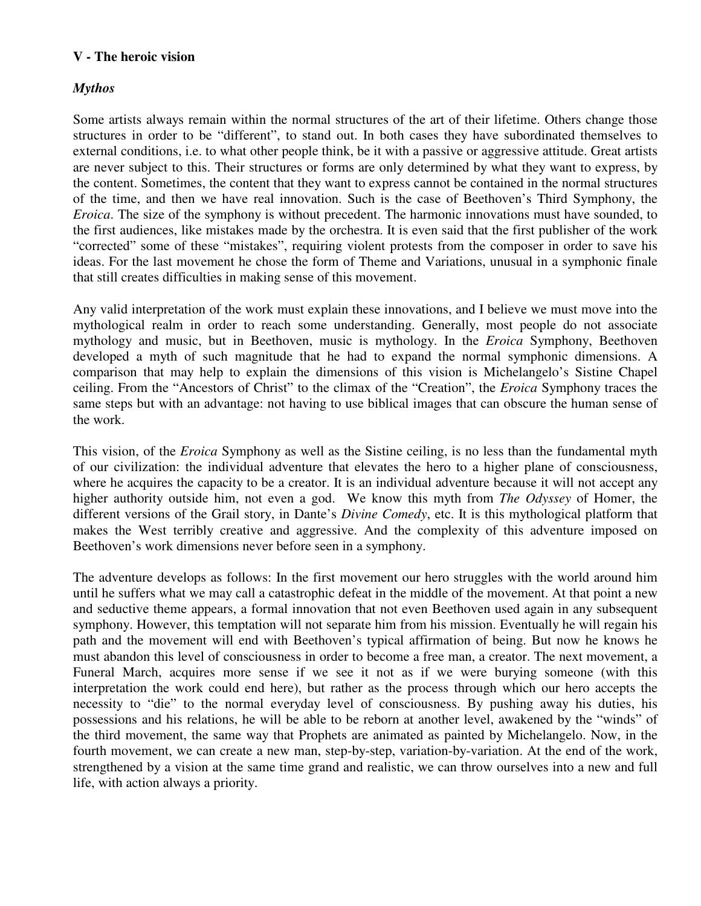## **V - The heroic vision**

# *Mythos*

Some artists always remain within the normal structures of the art of their lifetime. Others change those structures in order to be "different", to stand out. In both cases they have subordinated themselves to external conditions, i.e. to what other people think, be it with a passive or aggressive attitude. Great artists are never subject to this. Their structures or forms are only determined by what they want to express, by the content. Sometimes, the content that they want to express cannot be contained in the normal structures of the time, and then we have real innovation. Such is the case of Beethoven's Third Symphony, the *Eroica*. The size of the symphony is without precedent. The harmonic innovations must have sounded, to the first audiences, like mistakes made by the orchestra. It is even said that the first publisher of the work "corrected" some of these "mistakes", requiring violent protests from the composer in order to save his ideas. For the last movement he chose the form of Theme and Variations, unusual in a symphonic finale that still creates difficulties in making sense of this movement.

Any valid interpretation of the work must explain these innovations, and I believe we must move into the mythological realm in order to reach some understanding. Generally, most people do not associate mythology and music, but in Beethoven, music is mythology. In the *Eroica* Symphony, Beethoven developed a myth of such magnitude that he had to expand the normal symphonic dimensions. A comparison that may help to explain the dimensions of this vision is Michelangelo's Sistine Chapel ceiling. From the "Ancestors of Christ" to the climax of the "Creation", the *Eroica* Symphony traces the same steps but with an advantage: not having to use biblical images that can obscure the human sense of the work.

This vision, of the *Eroica* Symphony as well as the Sistine ceiling, is no less than the fundamental myth of our civilization: the individual adventure that elevates the hero to a higher plane of consciousness, where he acquires the capacity to be a creator. It is an individual adventure because it will not accept any higher authority outside him, not even a god. We know this myth from *The Odyssey* of Homer, the different versions of the Grail story, in Dante's *Divine Comedy*, etc. It is this mythological platform that makes the West terribly creative and aggressive. And the complexity of this adventure imposed on Beethoven's work dimensions never before seen in a symphony.

The adventure develops as follows: In the first movement our hero struggles with the world around him until he suffers what we may call a catastrophic defeat in the middle of the movement. At that point a new and seductive theme appears, a formal innovation that not even Beethoven used again in any subsequent symphony. However, this temptation will not separate him from his mission. Eventually he will regain his path and the movement will end with Beethoven's typical affirmation of being. But now he knows he must abandon this level of consciousness in order to become a free man, a creator. The next movement, a Funeral March, acquires more sense if we see it not as if we were burying someone (with this interpretation the work could end here), but rather as the process through which our hero accepts the necessity to "die" to the normal everyday level of consciousness. By pushing away his duties, his possessions and his relations, he will be able to be reborn at another level, awakened by the "winds" of the third movement, the same way that Prophets are animated as painted by Michelangelo. Now, in the fourth movement, we can create a new man, step-by-step, variation-by-variation. At the end of the work, strengthened by a vision at the same time grand and realistic, we can throw ourselves into a new and full life, with action always a priority.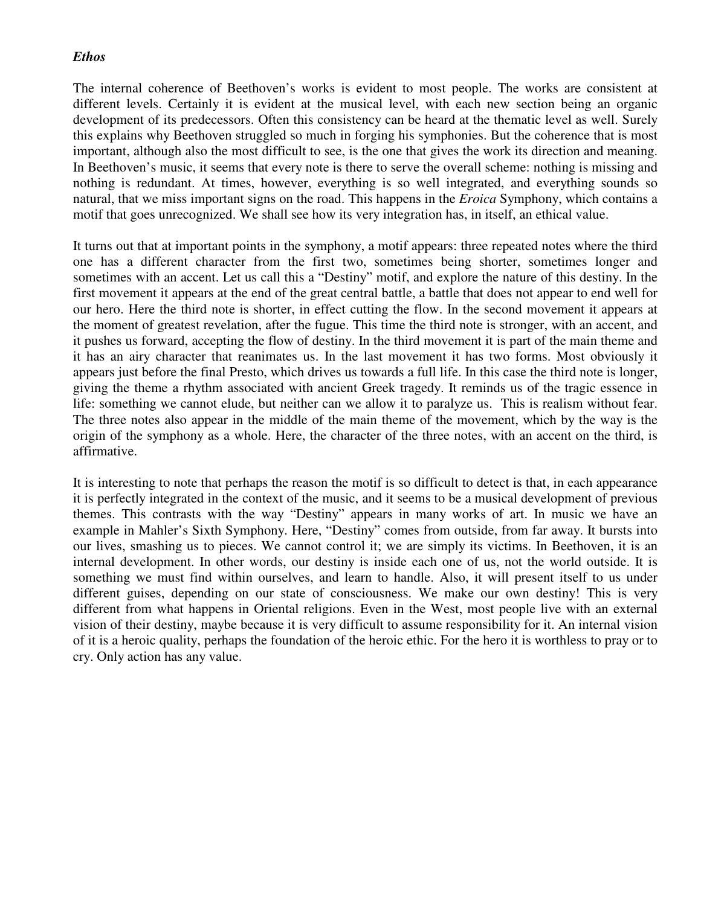### *Ethos*

The internal coherence of Beethoven's works is evident to most people. The works are consistent at different levels. Certainly it is evident at the musical level, with each new section being an organic development of its predecessors. Often this consistency can be heard at the thematic level as well. Surely this explains why Beethoven struggled so much in forging his symphonies. But the coherence that is most important, although also the most difficult to see, is the one that gives the work its direction and meaning. In Beethoven's music, it seems that every note is there to serve the overall scheme: nothing is missing and nothing is redundant. At times, however, everything is so well integrated, and everything sounds so natural, that we miss important signs on the road. This happens in the *Eroica* Symphony, which contains a motif that goes unrecognized. We shall see how its very integration has, in itself, an ethical value.

It turns out that at important points in the symphony, a motif appears: three repeated notes where the third one has a different character from the first two, sometimes being shorter, sometimes longer and sometimes with an accent. Let us call this a "Destiny" motif, and explore the nature of this destiny. In the first movement it appears at the end of the great central battle, a battle that does not appear to end well for our hero. Here the third note is shorter, in effect cutting the flow. In the second movement it appears at the moment of greatest revelation, after the fugue. This time the third note is stronger, with an accent, and it pushes us forward, accepting the flow of destiny. In the third movement it is part of the main theme and it has an airy character that reanimates us. In the last movement it has two forms. Most obviously it appears just before the final Presto, which drives us towards a full life. In this case the third note is longer, giving the theme a rhythm associated with ancient Greek tragedy. It reminds us of the tragic essence in life: something we cannot elude, but neither can we allow it to paralyze us. This is realism without fear. The three notes also appear in the middle of the main theme of the movement, which by the way is the origin of the symphony as a whole. Here, the character of the three notes, with an accent on the third, is affirmative.

It is interesting to note that perhaps the reason the motif is so difficult to detect is that, in each appearance it is perfectly integrated in the context of the music, and it seems to be a musical development of previous themes. This contrasts with the way "Destiny" appears in many works of art. In music we have an example in Mahler's Sixth Symphony. Here, "Destiny" comes from outside, from far away. It bursts into our lives, smashing us to pieces. We cannot control it; we are simply its victims. In Beethoven, it is an internal development. In other words, our destiny is inside each one of us, not the world outside. It is something we must find within ourselves, and learn to handle. Also, it will present itself to us under different guises, depending on our state of consciousness. We make our own destiny! This is very different from what happens in Oriental religions. Even in the West, most people live with an external vision of their destiny, maybe because it is very difficult to assume responsibility for it. An internal vision of it is a heroic quality, perhaps the foundation of the heroic ethic. For the hero it is worthless to pray or to cry. Only action has any value.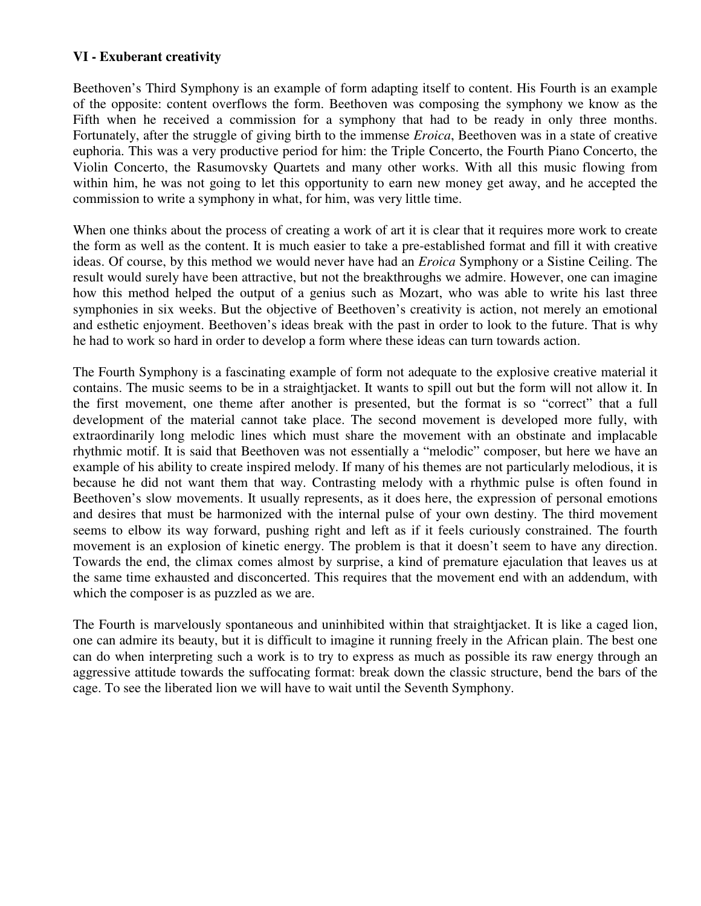## **VI - Exuberant creativity**

Beethoven's Third Symphony is an example of form adapting itself to content. His Fourth is an example of the opposite: content overflows the form. Beethoven was composing the symphony we know as the Fifth when he received a commission for a symphony that had to be ready in only three months. Fortunately, after the struggle of giving birth to the immense *Eroica*, Beethoven was in a state of creative euphoria. This was a very productive period for him: the Triple Concerto, the Fourth Piano Concerto, the Violin Concerto, the Rasumovsky Quartets and many other works. With all this music flowing from within him, he was not going to let this opportunity to earn new money get away, and he accepted the commission to write a symphony in what, for him, was very little time.

When one thinks about the process of creating a work of art it is clear that it requires more work to create the form as well as the content. It is much easier to take a pre-established format and fill it with creative ideas. Of course, by this method we would never have had an *Eroica* Symphony or a Sistine Ceiling. The result would surely have been attractive, but not the breakthroughs we admire. However, one can imagine how this method helped the output of a genius such as Mozart, who was able to write his last three symphonies in six weeks. But the objective of Beethoven's creativity is action, not merely an emotional and esthetic enjoyment. Beethoven's ideas break with the past in order to look to the future. That is why he had to work so hard in order to develop a form where these ideas can turn towards action.

The Fourth Symphony is a fascinating example of form not adequate to the explosive creative material it contains. The music seems to be in a straightjacket. It wants to spill out but the form will not allow it. In the first movement, one theme after another is presented, but the format is so "correct" that a full development of the material cannot take place. The second movement is developed more fully, with extraordinarily long melodic lines which must share the movement with an obstinate and implacable rhythmic motif. It is said that Beethoven was not essentially a "melodic" composer, but here we have an example of his ability to create inspired melody. If many of his themes are not particularly melodious, it is because he did not want them that way. Contrasting melody with a rhythmic pulse is often found in Beethoven's slow movements. It usually represents, as it does here, the expression of personal emotions and desires that must be harmonized with the internal pulse of your own destiny. The third movement seems to elbow its way forward, pushing right and left as if it feels curiously constrained. The fourth movement is an explosion of kinetic energy. The problem is that it doesn't seem to have any direction. Towards the end, the climax comes almost by surprise, a kind of premature ejaculation that leaves us at the same time exhausted and disconcerted. This requires that the movement end with an addendum, with which the composer is as puzzled as we are.

The Fourth is marvelously spontaneous and uninhibited within that straightjacket. It is like a caged lion, one can admire its beauty, but it is difficult to imagine it running freely in the African plain. The best one can do when interpreting such a work is to try to express as much as possible its raw energy through an aggressive attitude towards the suffocating format: break down the classic structure, bend the bars of the cage. To see the liberated lion we will have to wait until the Seventh Symphony.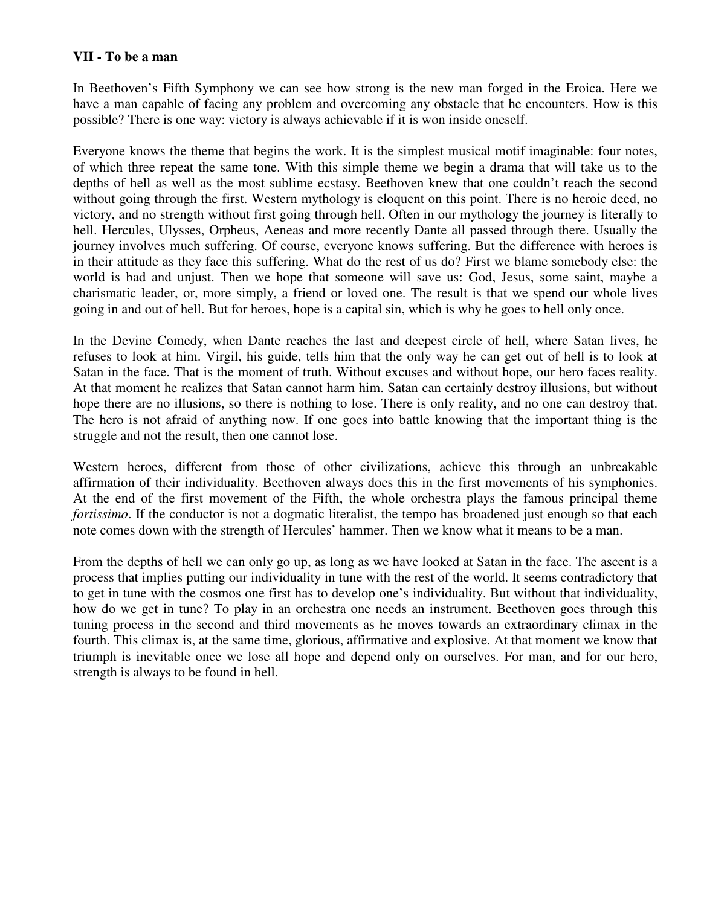#### **VII - To be a man**

In Beethoven's Fifth Symphony we can see how strong is the new man forged in the Eroica. Here we have a man capable of facing any problem and overcoming any obstacle that he encounters. How is this possible? There is one way: victory is always achievable if it is won inside oneself.

Everyone knows the theme that begins the work. It is the simplest musical motif imaginable: four notes, of which three repeat the same tone. With this simple theme we begin a drama that will take us to the depths of hell as well as the most sublime ecstasy. Beethoven knew that one couldn't reach the second without going through the first. Western mythology is eloquent on this point. There is no heroic deed, no victory, and no strength without first going through hell. Often in our mythology the journey is literally to hell. Hercules, Ulysses, Orpheus, Aeneas and more recently Dante all passed through there. Usually the journey involves much suffering. Of course, everyone knows suffering. But the difference with heroes is in their attitude as they face this suffering. What do the rest of us do? First we blame somebody else: the world is bad and unjust. Then we hope that someone will save us: God, Jesus, some saint, maybe a charismatic leader, or, more simply, a friend or loved one. The result is that we spend our whole lives going in and out of hell. But for heroes, hope is a capital sin, which is why he goes to hell only once.

In the Devine Comedy, when Dante reaches the last and deepest circle of hell, where Satan lives, he refuses to look at him. Virgil, his guide, tells him that the only way he can get out of hell is to look at Satan in the face. That is the moment of truth. Without excuses and without hope, our hero faces reality. At that moment he realizes that Satan cannot harm him. Satan can certainly destroy illusions, but without hope there are no illusions, so there is nothing to lose. There is only reality, and no one can destroy that. The hero is not afraid of anything now. If one goes into battle knowing that the important thing is the struggle and not the result, then one cannot lose.

Western heroes, different from those of other civilizations, achieve this through an unbreakable affirmation of their individuality. Beethoven always does this in the first movements of his symphonies. At the end of the first movement of the Fifth, the whole orchestra plays the famous principal theme *fortissimo*. If the conductor is not a dogmatic literalist, the tempo has broadened just enough so that each note comes down with the strength of Hercules' hammer. Then we know what it means to be a man.

From the depths of hell we can only go up, as long as we have looked at Satan in the face. The ascent is a process that implies putting our individuality in tune with the rest of the world. It seems contradictory that to get in tune with the cosmos one first has to develop one's individuality. But without that individuality, how do we get in tune? To play in an orchestra one needs an instrument. Beethoven goes through this tuning process in the second and third movements as he moves towards an extraordinary climax in the fourth. This climax is, at the same time, glorious, affirmative and explosive. At that moment we know that triumph is inevitable once we lose all hope and depend only on ourselves. For man, and for our hero, strength is always to be found in hell.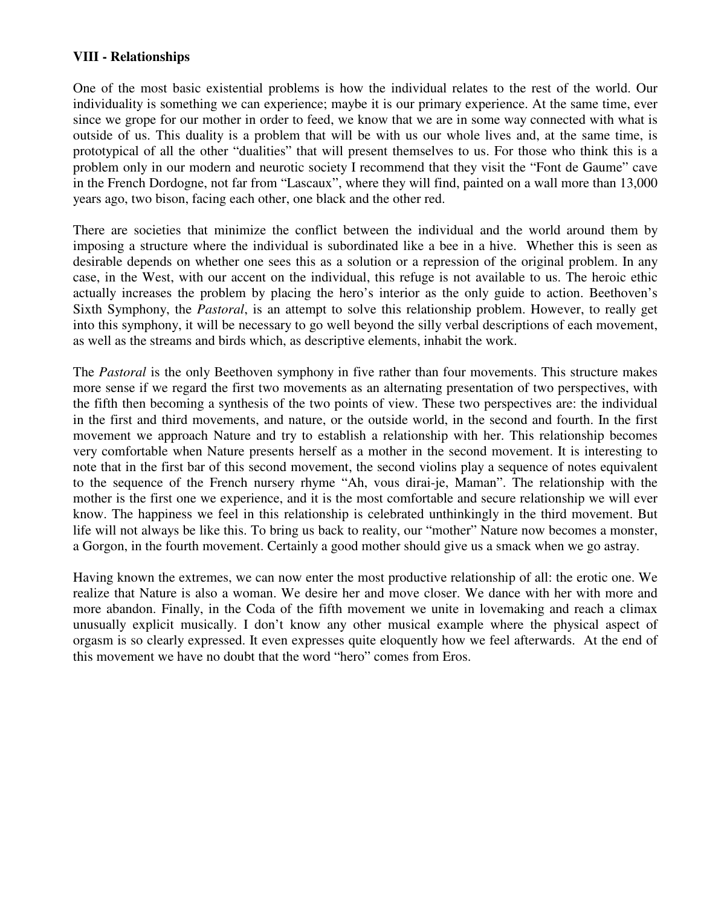## **VIII - Relationships**

One of the most basic existential problems is how the individual relates to the rest of the world. Our individuality is something we can experience; maybe it is our primary experience. At the same time, ever since we grope for our mother in order to feed, we know that we are in some way connected with what is outside of us. This duality is a problem that will be with us our whole lives and, at the same time, is prototypical of all the other "dualities" that will present themselves to us. For those who think this is a problem only in our modern and neurotic society I recommend that they visit the "Font de Gaume" cave in the French Dordogne, not far from "Lascaux", where they will find, painted on a wall more than 13,000 years ago, two bison, facing each other, one black and the other red.

There are societies that minimize the conflict between the individual and the world around them by imposing a structure where the individual is subordinated like a bee in a hive. Whether this is seen as desirable depends on whether one sees this as a solution or a repression of the original problem. In any case, in the West, with our accent on the individual, this refuge is not available to us. The heroic ethic actually increases the problem by placing the hero's interior as the only guide to action. Beethoven's Sixth Symphony, the *Pastoral*, is an attempt to solve this relationship problem. However, to really get into this symphony, it will be necessary to go well beyond the silly verbal descriptions of each movement, as well as the streams and birds which, as descriptive elements, inhabit the work.

The *Pastoral* is the only Beethoven symphony in five rather than four movements. This structure makes more sense if we regard the first two movements as an alternating presentation of two perspectives, with the fifth then becoming a synthesis of the two points of view. These two perspectives are: the individual in the first and third movements, and nature, or the outside world, in the second and fourth. In the first movement we approach Nature and try to establish a relationship with her. This relationship becomes very comfortable when Nature presents herself as a mother in the second movement. It is interesting to note that in the first bar of this second movement, the second violins play a sequence of notes equivalent to the sequence of the French nursery rhyme "Ah, vous dirai-je, Maman". The relationship with the mother is the first one we experience, and it is the most comfortable and secure relationship we will ever know. The happiness we feel in this relationship is celebrated unthinkingly in the third movement. But life will not always be like this. To bring us back to reality, our "mother" Nature now becomes a monster, a Gorgon, in the fourth movement. Certainly a good mother should give us a smack when we go astray.

Having known the extremes, we can now enter the most productive relationship of all: the erotic one. We realize that Nature is also a woman. We desire her and move closer. We dance with her with more and more abandon. Finally, in the Coda of the fifth movement we unite in lovemaking and reach a climax unusually explicit musically. I don't know any other musical example where the physical aspect of orgasm is so clearly expressed. It even expresses quite eloquently how we feel afterwards. At the end of this movement we have no doubt that the word "hero" comes from Eros.